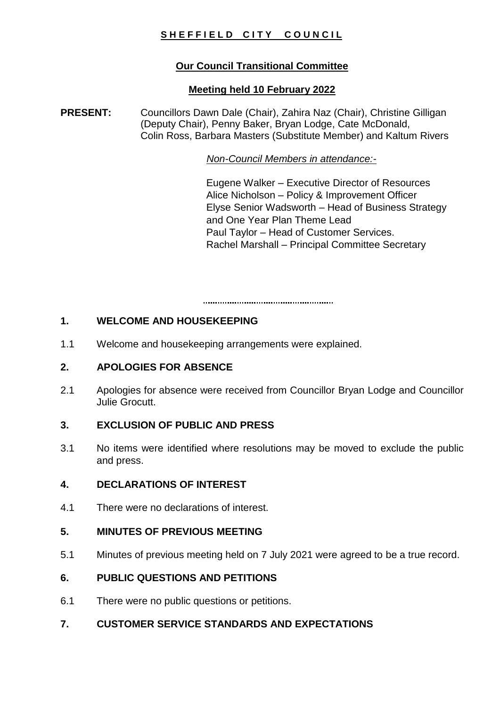# SHEFFIELD CITY COUNCIL

## **Our Council Transitional Committee**

## **Meeting held 10 February 2022**

**PRESENT:** Councillors Dawn Dale (Chair), Zahira Naz (Chair), Christine Gilligan (Deputy Chair), Penny Baker, Bryan Lodge, Cate McDonald, Colin Ross, Barbara Masters (Substitute Member) and Kaltum Rivers

*Non-Council Members in attendance:-*

Eugene Walker – Executive Director of Resources Alice Nicholson – Policy & Improvement Officer Elyse Senior Wadsworth – Head of Business Strategy and One Year Plan Theme Lead Paul Taylor – Head of Customer Services. Rachel Marshall – Principal Committee Secretary

### **1. WELCOME AND HOUSEKEEPING**

1.1 Welcome and housekeeping arrangements were explained.

#### **2. APOLOGIES FOR ABSENCE**

2.1 Apologies for absence were received from Councillor Bryan Lodge and Councillor Julie Grocutt.

#### **3. EXCLUSION OF PUBLIC AND PRESS**

3.1 No items were identified where resolutions may be moved to exclude the public and press.

#### **4. DECLARATIONS OF INTEREST**

4.1 There were no declarations of interest.

#### **5. MINUTES OF PREVIOUS MEETING**

5.1 Minutes of previous meeting held on 7 July 2021 were agreed to be a true record.

#### **6. PUBLIC QUESTIONS AND PETITIONS**

6.1 There were no public questions or petitions.

## **7. CUSTOMER SERVICE STANDARDS AND EXPECTATIONS**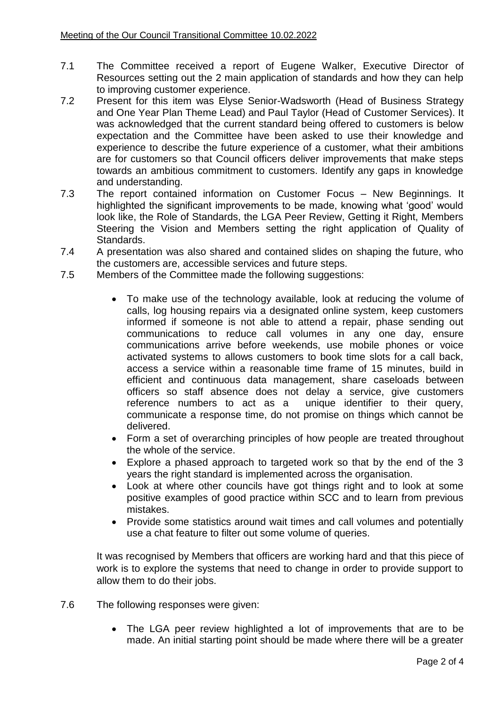- 7.1 The Committee received a report of Eugene Walker, Executive Director of Resources setting out the 2 main application of standards and how they can help to improving customer experience.
- 7.2 Present for this item was Elyse Senior-Wadsworth (Head of Business Strategy and One Year Plan Theme Lead) and Paul Taylor (Head of Customer Services). It was acknowledged that the current standard being offered to customers is below expectation and the Committee have been asked to use their knowledge and experience to describe the future experience of a customer, what their ambitions are for customers so that Council officers deliver improvements that make steps towards an ambitious commitment to customers. Identify any gaps in knowledge and understanding.
- 7.3 The report contained information on Customer Focus New Beginnings. It highlighted the significant improvements to be made, knowing what 'good' would look like, the Role of Standards, the LGA Peer Review, Getting it Right, Members Steering the Vision and Members setting the right application of Quality of Standards.
- 7.4 A presentation was also shared and contained slides on shaping the future, who the customers are, accessible services and future steps.
- 7.5 Members of the Committee made the following suggestions:
	- To make use of the technology available, look at reducing the volume of calls, log housing repairs via a designated online system, keep customers informed if someone is not able to attend a repair, phase sending out communications to reduce call volumes in any one day, ensure communications arrive before weekends, use mobile phones or voice activated systems to allows customers to book time slots for a call back, access a service within a reasonable time frame of 15 minutes, build in efficient and continuous data management, share caseloads between officers so staff absence does not delay a service, give customers reference numbers to act as a unique identifier to their query, communicate a response time, do not promise on things which cannot be delivered.
	- Form a set of overarching principles of how people are treated throughout the whole of the service.
	- Explore a phased approach to targeted work so that by the end of the 3 years the right standard is implemented across the organisation.
	- Look at where other councils have got things right and to look at some positive examples of good practice within SCC and to learn from previous mistakes.
	- Provide some statistics around wait times and call volumes and potentially use a chat feature to filter out some volume of queries.

It was recognised by Members that officers are working hard and that this piece of work is to explore the systems that need to change in order to provide support to allow them to do their jobs.

- 7.6 The following responses were given:
	- The LGA peer review highlighted a lot of improvements that are to be made. An initial starting point should be made where there will be a greater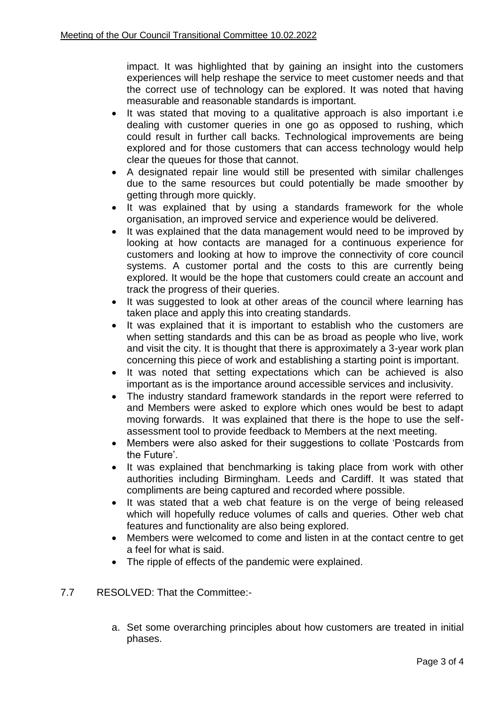impact. It was highlighted that by gaining an insight into the customers experiences will help reshape the service to meet customer needs and that the correct use of technology can be explored. It was noted that having measurable and reasonable standards is important.

- It was stated that moving to a qualitative approach is also important i.e dealing with customer queries in one go as opposed to rushing, which could result in further call backs. Technological improvements are being explored and for those customers that can access technology would help clear the queues for those that cannot.
- A designated repair line would still be presented with similar challenges due to the same resources but could potentially be made smoother by getting through more quickly.
- It was explained that by using a standards framework for the whole organisation, an improved service and experience would be delivered.
- It was explained that the data management would need to be improved by looking at how contacts are managed for a continuous experience for customers and looking at how to improve the connectivity of core council systems. A customer portal and the costs to this are currently being explored. It would be the hope that customers could create an account and track the progress of their queries.
- It was suggested to look at other areas of the council where learning has taken place and apply this into creating standards.
- It was explained that it is important to establish who the customers are when setting standards and this can be as broad as people who live, work and visit the city. It is thought that there is approximately a 3-year work plan concerning this piece of work and establishing a starting point is important.
- It was noted that setting expectations which can be achieved is also important as is the importance around accessible services and inclusivity.
- The industry standard framework standards in the report were referred to and Members were asked to explore which ones would be best to adapt moving forwards. It was explained that there is the hope to use the selfassessment tool to provide feedback to Members at the next meeting.
- Members were also asked for their suggestions to collate 'Postcards from the Future'.
- It was explained that benchmarking is taking place from work with other authorities including Birmingham. Leeds and Cardiff. It was stated that compliments are being captured and recorded where possible.
- It was stated that a web chat feature is on the verge of being released which will hopefully reduce volumes of calls and queries. Other web chat features and functionality are also being explored.
- Members were welcomed to come and listen in at the contact centre to get a feel for what is said.
- The ripple of effects of the pandemic were explained.
- 7.7 RESOLVED: That the Committee:
	- a. Set some overarching principles about how customers are treated in initial phases.